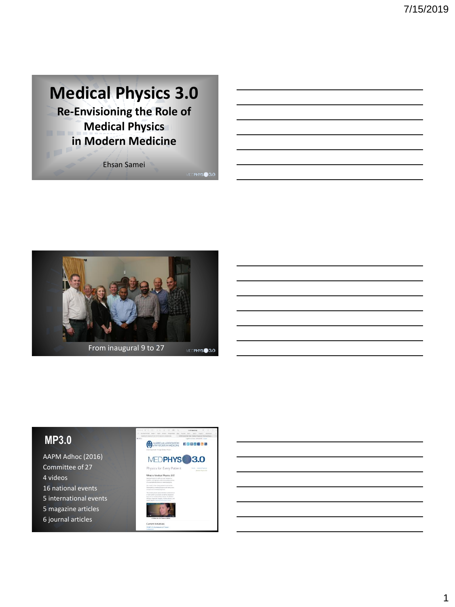



## **MP3.0**

AAPM Adhoc (2016) Committee of 27 4 videos 16 national events 5 international events 5 magazine articles 6 journal articles

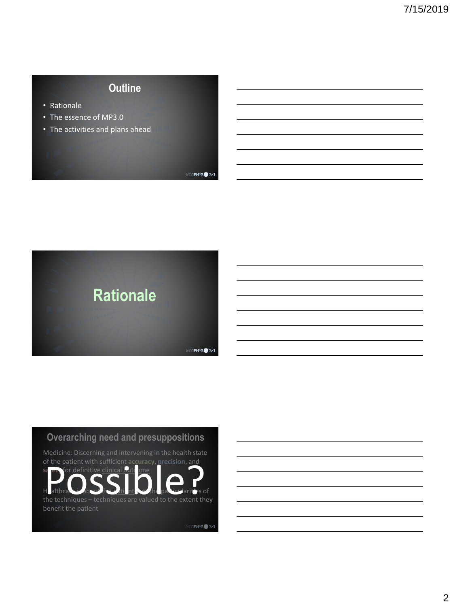# **Outline**

- Rationale
- The essence of MP3.0
- The activities and plans ahead

**Rationale** MEDPHYS<sup>3.0</sup>

#### **Overarching need and presuppositions**

Medicine: Discerning and intervening in the health state of the patient with sufficient **accuracy**, **precision**, and **for definitive clinical outcome**  $H$  althea $\overline{O}$  the techniques – techniques are valued to the extent they the techniques – techniques are valued to the extent they

Healthcare is about the patient of the particularities of

MEDPHYS<sup>3.0</sup>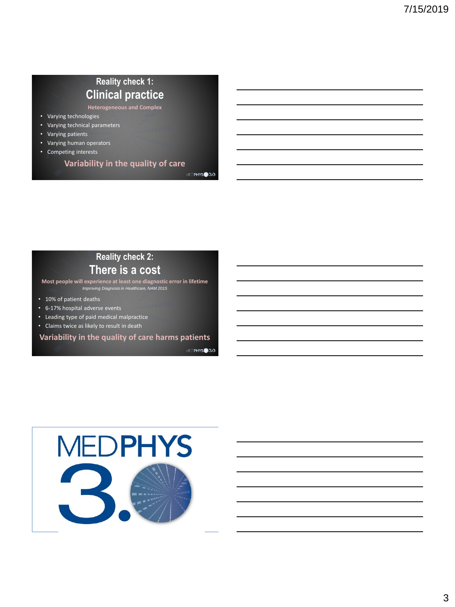# **Reality check 1: Clinical practice**

**Heterogeneous and Complex**

- Varying technologies
- Varying technical parameters
- Varying patients
- Varying human operators
- Competing interests

**Variability in the quality of care**

# **Reality check 2:**

### **There is a cost**

**Most people will experience at least one diagnostic error in lifetime** *Improving Diagnosis in Healthcare, NAM 2015*

- 10% of patient deaths
- 6-17% hospital adverse events
- Leading type of paid medical malpractice
- Claims twice as likely to result in death

#### **Variability in the quality of care harms patients**

MEDPHYS<sup>3.0</sup>

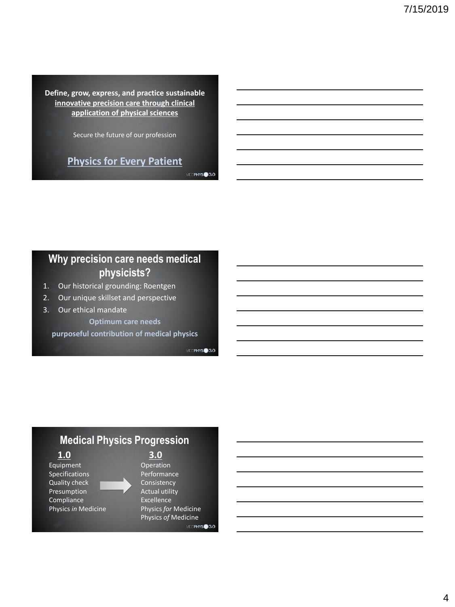**Define, grow, express, and practice sustainable innovative precision care through clinical application of physical sciences**

Secure the future of our profession

# **Physics for Every Patient**

MEDPHYS<sup>3.0</sup>

## **Why precision care needs medical physicists?**

- 1. Our historical grounding: Roentgen
- 2. Our unique skillset and perspective
- 3. Our ethical mandate
	- **Optimum care needs**

**purposeful contribution of medical physics**

MIDPHYS<sup>3.0</sup>

## **Medical Physics Progression**

Equipment Operation Specifications **Performance** Quality check Consistency Presumption **Actual utility** Compliance Excellence

**1.0 3.0**

Physics *in* Medicine Physics *for* Medicine Physics *of* MedicineMEDPHYS<sup>3.0</sup>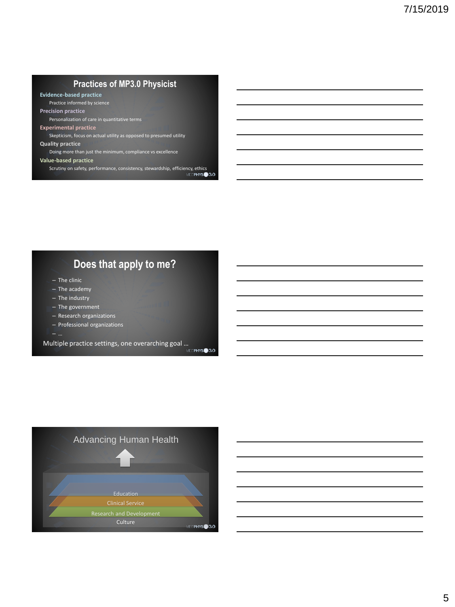#### **Practices of MP3.0 Physicist**

**Evidence-based practice**

Practice informed by science

**Precision practice**

Personalization of care in quantitative terms

#### **Experimental practice**

Skepticism, focus on actual utility as opposed to presumed utility

#### **Quality practice**

Doing more than just the minimum, compliance vs excellence

**Value-based practice**

Scrutiny on safety, performance, consistency, stewardship, efficiency, ethics

# **Does that apply to me?**

- The clinic
- The academy
- The industry
- The government
- Research organizations
- Professional organizations
- 

Multiple practice settings, one overarching goal ...<br>Multiple practice settings, one overarching goal ...

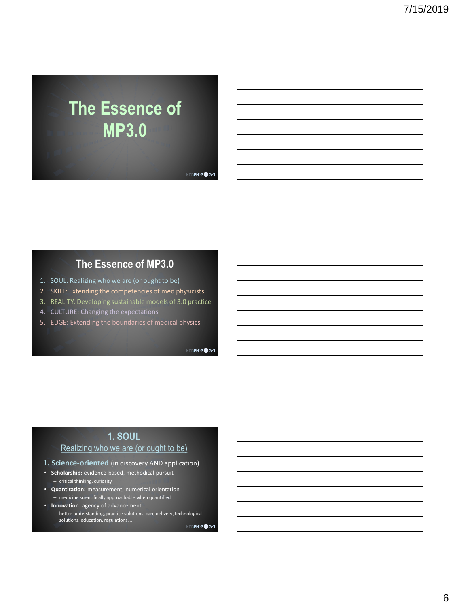# **The Essence of MP3.0**

MEDPHYS<sup>3.0</sup>

### **The Essence of MP3.0**

- 1. SOUL: Realizing who we are (or ought to be)
- 2. SKILL: Extending the competencies of med physicists
- 3. REALITY: Developing sustainable models of 3.0 practice
- 4. CULTURE: Changing the expectations
- 5. EDGE: Extending the boundaries of medical physics

MEDPHYS<sup>3.0</sup>

#### **1. SOUL**

#### Realizing who we are (or ought to be)

- **1. Science-oriented** (in discovery AND application)
- **Scholarship:** evidence-based, methodical pursuit – critical thinking, curiosity
- **Quantitation:** measurement, numerical orientation – medicine scientifically approachable when quantified
- **Innovation**: agency of advancement – better understanding, practice solutions, care delivery, technological solutions, education, regulations, …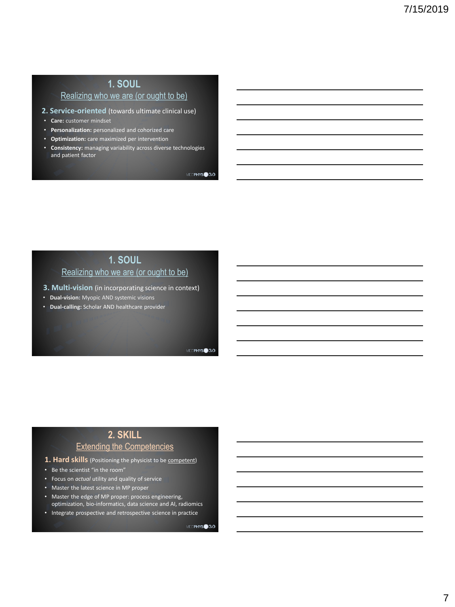# **1. SOUL**

#### Realizing who we are (or ought to be)

- **2. Service-oriented** (towards ultimate clinical use)
- **Care:** customer mindset
- **Personalization:** personalized and cohorized care
- **Optimization:** care maximized per intervention
- **Consistency:** managing variability across diverse technologies and patient factor

MEDPHYS<sup>3.0</sup>

#### **1. SOUL** Realizing who we are (or ought to be)

**3. Multi-vision** (in incorporating science in context)

- **Dual-vision:** Myopic AND systemic visions
- **Dual-calling:** Scholar AND healthcare provider

MEDPHYS<sup>3.0</sup>

#### **2. SKILL** Extending the Competencies

- **1. Hard skills** (Positioning the physicist to be competent)
- Be the scientist "in the room"
- Focus on *actual* utility and quality of service
- Master the latest science in MP proper
- Master the edge of MP proper: process engineering, optimization, bio-informatics, data science and AI, radiomics
- Integrate prospective and retrospective science in practice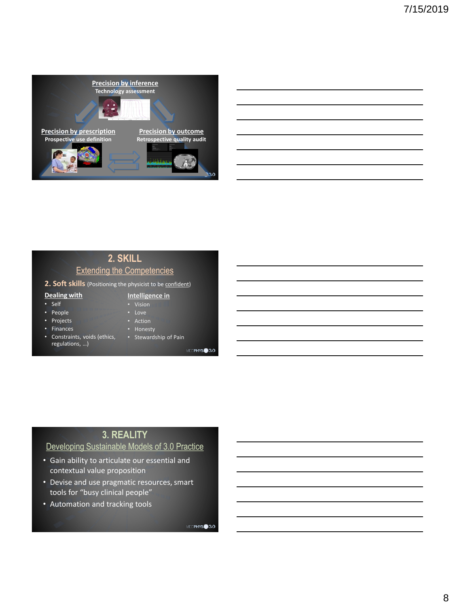

|                                   | 2. SKILL |  |
|-----------------------------------|----------|--|
| <b>Extending the Competencies</b> |          |  |

- 2. Soft skills (Positioning the physicist to be **confident**)
- **Dealing with**
- Self
- **Intelligence in**  • Vision
- 
- People • Projects
- Finances
- Action • Honesty
- Constraints, voids (ethics, regulations, …)
- 
- Stewardship of Pain

MEDPHYS<sup>3.0</sup>

# **3. REALITY**

#### Developing Sustainable Models of 3.0 Practice

- Gain ability to articulate our essential and contextual value proposition
- Devise and use pragmatic resources, smart tools for "busy clinical people"
- Automation and tracking tools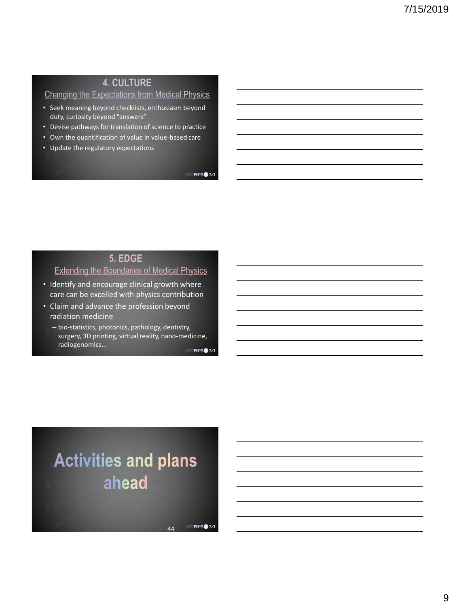#### **4. CULTURE**

#### Changing the Expectations from Medical Physics

- Seek meaning beyond checklists, enthusiasm beyond duty, curiosity beyond "answers"
- Devise pathways for translation of science to practice
- Own the quantification of value in value-based care
- Update the regulatory expectations

MEDPHYS<sup>3.0</sup>

#### **5. EDGE**

#### Extending the Boundaries of Medical Physics

- Identify and encourage clinical growth where care can be excelled with physics contribution
- Claim and advance the profession beyond radiation medicine
	- bio-statistics, photonics, pathology, dentistry, surgery, 3D printing, virtual reality, nano-medicine, radiogenomics… MEDPHYS<sup>3.0</sup>

# **Activities and plans** ahead

MEDPHYS<sup>3.0</sup>  $\overline{A}$